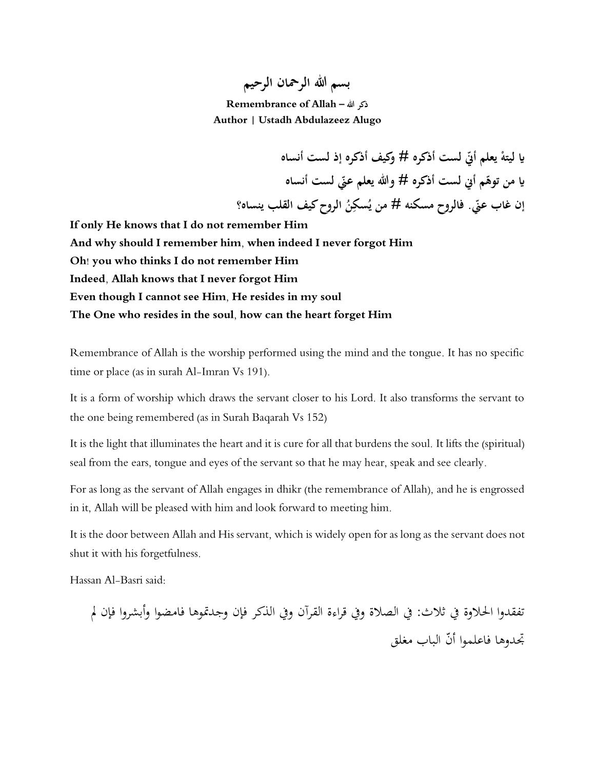# **بسم هللا الرمحان الرحيم**

### **Remembrance of Allah – هللا ذكر Author | Ustadh Abdulazeez Alugo**

يا ليتهْ يعلم أُبيِّ لست أذكره # وكيف أذكره إذ لست أنساه **ي يّن اي من توه لست أنساه م أّن لست أذكره # وهللا يعلم ع الروحكيف القلب ُ ن ُسكِ يّن. فالروح مسكنه # من ي إن غاب ع ينساه؟**

**If only He knows that I do not remember Him And why should I remember him, when indeed I never forgot Him Oh! you who thinks I do not remember Him Indeed, Allah knows that I never forgot Him Even though I cannot see Him, He resides in my soul The One who resides in the soul, how can the heart forget Him**

Remembrance of Allah is the worship performed using the mind and the tongue. It has no specific time or place (as in surah Al-Imran Vs 191).

It is a form of worship which draws the servant closer to his Lord. It also transforms the servant to the one being remembered (as in Surah Baqarah Vs 152)

It is the light that illuminates the heart and it is cure for all that burdens the soul. It lifts the (spiritual) seal from the ears, tongue and eyes of the servant so that he may hear, speak and see clearly.

For as long as the servant of Allah engages in dhikr (the remembrance of Allah), and he is engrossed in it, Allah will be pleased with him and look forward to meeting him.

It is the door between Allah and His servant, which is widely open for as long as the servant does not shut it with his forgetfulness.

Hassan Al-Basri said:

تفقدوا الحلاوة في ثلاث: في الصلاة وفي قراءة القرآن وفي الذكر فإن وجدتموها فامضوا وأبشروا فإن لم تجدوها فاعلموا أنّ الباب مغلق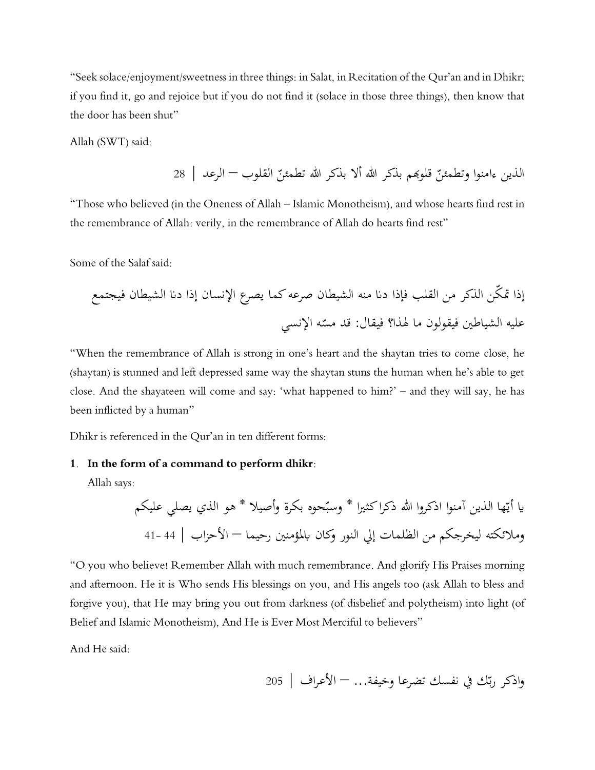"Seek solace/enjoyment/sweetness in three things: in Salat, in Recitation of the Qur'an and in Dhikr; if you find it, go and rejoice but if you do not find it (solace in those three things), then know that the door has been shut"

Allah (SWT) said:

الذين ءامنوا وتطمئنّ قلوبهم بذكر الله ألا بذكر الله تطمئنّ القلوب — الرعد | 28

"Those who believed (in the Oneness of Allah – Islamic Monotheism), and whose hearts find rest in the remembrance of Allah: verily, in the remembrance of Allah do hearts find rest"

Some of the Salaf said:

إذا مت ّكن الذكر من القلب فإذا دان منه الشيطان صرعهكما يصرع اإلنسان إذا دان الشيطان فيجتمع عليه الشياطني فيقولون ما هلذا؟ فيقال: ّ قد مسه اإلنسي

"When the remembrance of Allah is strong in one's heart and the shaytan tries to come close, he (shaytan) is stunned and left depressed same way the shaytan stuns the human when he's able to get close. And the shayateen will come and say: 'what happened to him?' – and they will say, he has been inflicted by a human"

Dhikr is referenced in the Qur'an in ten different forms:

### **1. In the form of a command to perform dhikr:**

Allah says:

ها الذين ّ هو الذي يصلي عليكم اي أي حوه بكرة وأصيال \* ّ وسب آمنوا اذكروا هللا ذكراكثريا \* ومالئكته ليخرجكم من الظلمات إيل النور وكان ابملؤمنني رحيما – األحزاب | <sup>44</sup> 41-

"O you who believe! Remember Allah with much remembrance. And glorify His Praises morning and afternoon. He it is Who sends His blessings on you, and His angels too (ask Allah to bless and forgive you), that He may bring you out from darkness (of disbelief and polytheism) into light (of Belief and Islamic Monotheism), And He is Ever Most Merciful to believers"

And He said:

ّك يف نفسك تضرعا واذكر رب وخيفة... – األعراف | <sup>205</sup>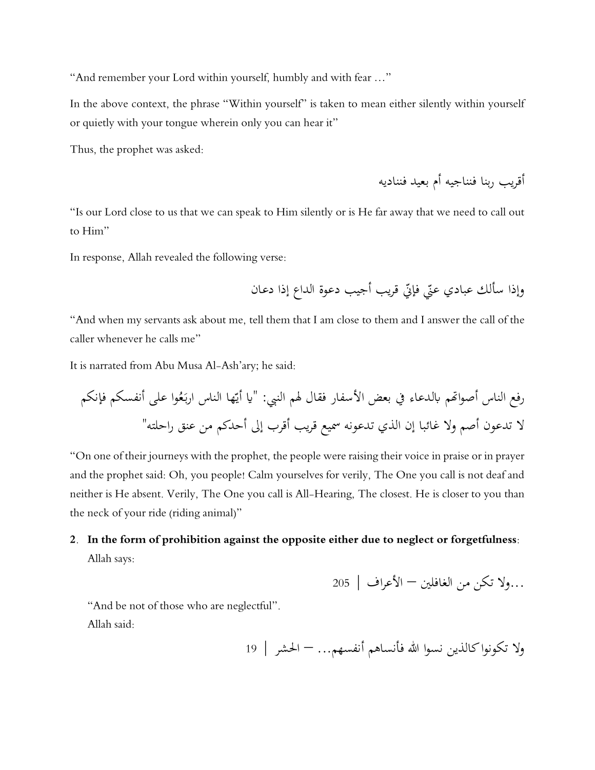"And remember your Lord within yourself, humbly and with fear …"

In the above context, the phrase "Within yourself" is taken to mean either silently within yourself or quietly with your tongue wherein only you can hear it"

Thus, the prophet was asked:

أقريب ربنا فنناجيه أم بعيد فنناديه

"Is our Lord close to us that we can speak to Him silently or is He far away that we need to call out to Him"

In response, Allah revealed the following verse:

وإذا سألك عبادي عنّي فإنّي قريب أجيب دعوة الداع إذا دعان

"And when my servants ask about me, tell them that I am close to them and I answer the call of the caller whenever he calls me"

It is narrated from Abu Musa Al-Ash'ary; he said:

رفع الناس أصواهتم ابلدعاء يف ها الناس ارب ّ بعض األسفار فقال هلم النيب: "اي أي عوا على أنفسكم فإنكم ال تدعون أصم وال غائبا إن الذي تدعونه مسيع قريب أقرب إىل أحدكم من عنق راحلته"

"On one of their journeys with the prophet, the people were raising their voice in praise or in prayer and the prophet said: Oh, you people! Calm yourselves for verily, The One you call is not deaf and neither is He absent. Verily, The One you call is All-Hearing, The closest. He is closer to you than the neck of your ride (riding animal)"

### **2. In the form of prohibition against the opposite either due to neglect or forgetfulness:** Allah says:

...وال تكن من الغافلني – األعراف | <sup>205</sup>

"And be not of those who are neglectful". Allah said:

وال تكونوا كالذين نسوا هللا فأنساهم أنفسهم... – احلشر | <sup>19</sup>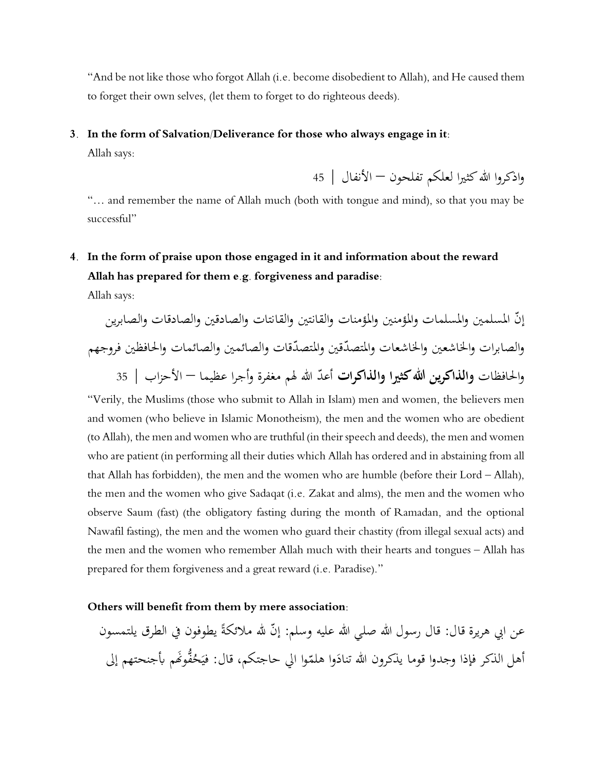"And be not like those who forgot Allah (i.e. become disobedient to Allah), and He caused them to forget their own selves, (let them to forget to do righteous deeds).

### **3. In the form of Salvation/Deliverance for those who always engage in it:**

Allah says:

واذكروا الله كثيرا لعلكم تفلحون — الأنفال | 45

"… and remember the name of Allah much (both with tongue and mind), so that you may be successful"

## **4. In the form of praise upon those engaged in it and information about the reward Allah has prepared for them e.g. forgiveness and paradise:**

Allah says:

ّن املسلمني إ واملسلمات واملؤمنني واملؤمنات والقانتني والقانتات والصادقني والصادقات والصابرين والصابرات واخلاشعني واخلاشعات واملتصّدقني واملتصّدقات والصائمني والصائمات واحلافظني فروجهم ّد واحلافظات **والذاكرين هللا كثريا والذاكرات** هللا هلم مغفرة وأجرا عظيما أع – األحزاب | <sup>35</sup>

"Verily, the Muslims (those who submit to Allah in Islam) men and women, the believers men and women (who believe in Islamic Monotheism), the men and the women who are obedient (to Allah), the men and women who are truthful (in their speech and deeds), the men and women who are patient (in performing all their duties which Allah has ordered and in abstaining from all that Allah has forbidden), the men and the women who are humble (before their Lord – Allah), the men and the women who give Sadaqat (i.e. Zakat and alms), the men and the women who observe Saum (fast) (the obligatory fasting during the month of Ramadan, and the optional Nawafil fasting), the men and the women who guard their chastity (from illegal sexual acts) and the men and the women who remember Allah much with their hearts and tongues – Allah has prepared for them forgiveness and a great reward (i.e. Paradise)."

### **Others will benefit from them by mere association:**

عن ابي هريرة قال: قال رسول الله صلي الله عليه وسلم: إنَّ لله ملائكةً يطوفون في الطرق يلتمسون أهل الذكر فإذا وجدوا قوما يذكرون الله تنادَوا هلمّوا الي حاجتكم، قال: فيَحُفُّوهُم بأجنحتهم إلى  $\ddot{ }$  $\ddot{\cdot}$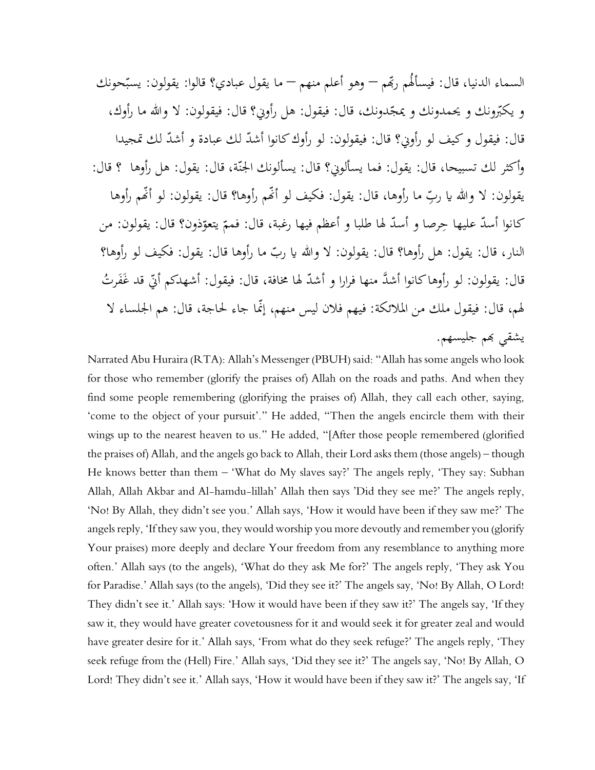السماء الدنيا، قال: فيسألَهم ربِّمم — وهو أعلم منهم — ما يقول عبادي؟ قالوا: يقولون: يسبّحونك و يكبّرونك و يحمدونك و يمجّدونك، قال: فيقول: هل رأويي؟ قال: فيقولون: لا والله ما رأوك، قال: فيقول وكيف لو رأوّن؟ قال: فيقولون: لو رأوككانوا أش ّد لك عبادة و أشّد لك متجيدا وأكثر لك تسبيحا، قال: يقول: فما يسألوني؟ قال: يسألونك الجنّة، قال: يقول: هل رأوها ۚ ؟ قال: يقولون: لا والله يا ربِّ ما رأوها، قال: يقول: فكيف لو أُمِّم رأوها؟ قال: يقولون: لو أُمِّم رأوها كانوا أسدّ عليها حِرصا و أسدّ لها طلبا و أعظم فيها رغبة، قال: فممّ يتعوّذون؟ قال: يقولون: من النار، قال: يقول: هل رأوها؟ قال: يقولون: لا والله يا ربّ ما رأوها قال: يقول: فكيف لو رأوها؟ قال: يقولون: لو رأوهـاكانوا أشدَّ منهـا فرارا و أشدّ لها مخافة، قال: فيقول: أشهدكم أُتّي قد غَفَرتُ Ä هلم، قال: فيقول ملك من املالئكة: فيهم فالن ليس منهم، إّّنا جاء حلاجة، قال: هم اجللساء ال يشقي هبم جليسهم.

Narrated Abu Huraira (RTA): Allah's Messenger (PBUH) said: "Allah has some angels who look for those who remember (glorify the praises of) Allah on the roads and paths. And when they find some people remembering (glorifying the praises of) Allah, they call each other, saying, 'come to the object of your pursuit'." He added, "Then the angels encircle them with their wings up to the nearest heaven to us." He added, "[After those people remembered (glorified the praises of) Allah, and the angels go back to Allah, their Lord asks them (those angels) – though He knows better than them – 'What do My slaves say?' The angels reply, 'They say: Subhan Allah, Allah Akbar and Al-hamdu-lillah' Allah then says 'Did they see me?' The angels reply, 'No! By Allah, they didn't see you.' Allah says, 'How it would have been if they saw me?' The angels reply, 'If they saw you, they would worship you more devoutly and remember you (glorify Your praises) more deeply and declare Your freedom from any resemblance to anything more often.' Allah says (to the angels), 'What do they ask Me for?' The angels reply, 'They ask You for Paradise.' Allah says (to the angels), 'Did they see it?' The angels say, 'No! By Allah, O Lord! They didn't see it.' Allah says: 'How it would have been if they saw it?' The angels say, 'If they saw it, they would have greater covetousness for it and would seek it for greater zeal and would have greater desire for it.' Allah says, 'From what do they seek refuge?' The angels reply, 'They seek refuge from the (Hell) Fire.' Allah says, 'Did they see it?' The angels say, 'No! By Allah, O Lord! They didn't see it.' Allah says, 'How it would have been if they saw it?' The angels say, 'If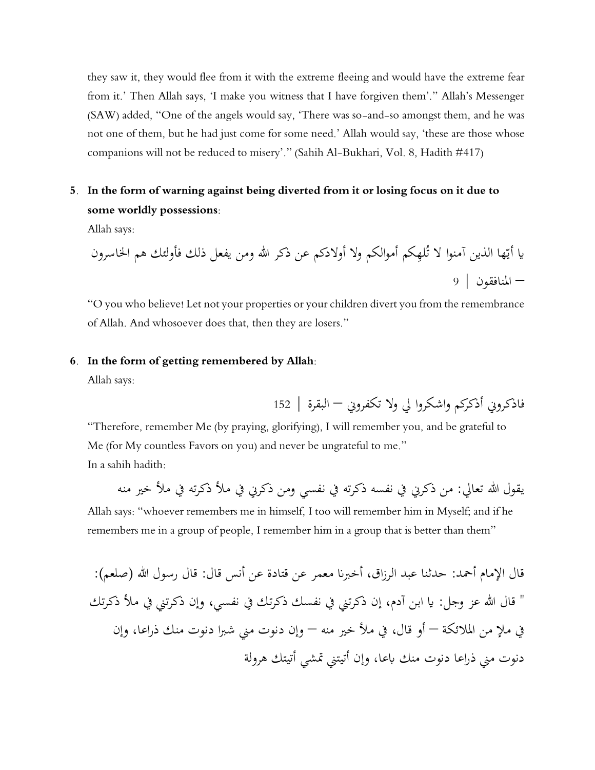they saw it, they would flee from it with the extreme fleeing and would have the extreme fear from it.' Then Allah says, 'I make you witness that I have forgiven them'." Allah's Messenger (SAW) added, "One of the angels would say, 'There was so-and-so amongst them, and he was not one of them, but he had just come for some need.' Allah would say, 'these are those whose companions will not be reduced to misery'." (Sahih Al-Bukhari, Vol. 8, Hadith #417)

### **5. In the form of warning against being diverted from it or losing focus on it due to some worldly possessions:**

Allah says:

ِّهكم أموالكم وال أوالدكم عن ذكر هللا ومن يفعل ذلك فأولئك هم اخلاسرون ل ها الذين آمنوا ال ت ّ اي أي – املنافقون | <sup>9</sup>

"O you who believe! Let not your properties or your children divert you from the remembrance of Allah. And whosoever does that, then they are losers."

#### **6. In the form of getting remembered by Allah:**

Allah says:

فاذكروّن أذكركم واشكروا يل وال تكفروّن – البقرة | <sup>152</sup>

"Therefore, remember Me (by praying, glorifying), I will remember you, and be grateful to Me (for My countless Favors on you) and never be ungrateful to me." In a sahih hadith:

يقول الله تعالى: من ذكرين في نفسه ذكرته في نفسي ومن ذكرين في ملأ ذكرته في ملأ خير منه

Allah says: "whoever remembers me in himself, I too will remember him in Myself; and if he remembers me in a group of people, I remember him in a group that is better than them"

قال الإمام أحمد: حدثنا عبد الرزاق، أخبرنا معمر عن قتادة عن أنس قال: قال رسول الله (صلعم): " قال الله عز وجل: يا ابن آدم، إن ذكرتني في نفسك ذكرتك في نفسي، وإن ذكرتني في ملأ ذكرتك في ملإ من الملائكة – أو قال، في ملأ خير منه – وإن دنوت مني شبرا دنوت منك ذراعا، وإن دنوت مني ذراعا دنوت منك باعا، وإن أتيتني تمشي أتيتك هرولة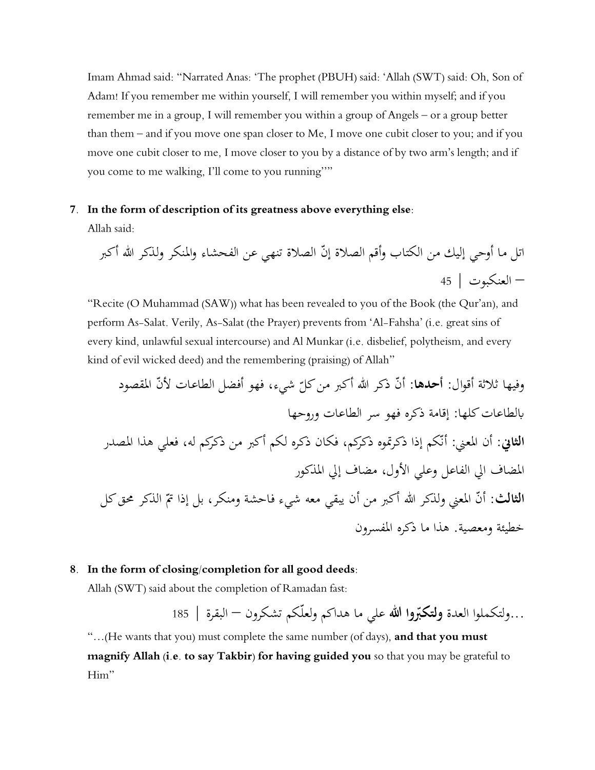Imam Ahmad said: "Narrated Anas: 'The prophet (PBUH) said: 'Allah (SWT) said: Oh, Son of Adam! If you remember me within yourself, I will remember you within myself; and if you remember me in a group, I will remember you within a group of Angels – or a group better than them – and if you move one span closer to Me, I move one cubit closer to you; and if you move one cubit closer to me, I move closer to you by a distance of by two arm's length; and if you come to me walking, I'll come to you running''"

### **7. In the form of description of its greatness above everything else:**

Allah said:

ّن الصالة تنهي عن الفحشاء واملنكر ولذكر هللا أكّب اتل ما أوحي إليك من الكتاب وأقم الصالة إ – العنكبوت | <sup>45</sup>

"Recite (O Muhammad (SAW)) what has been revealed to you of the Book (the Qur'an), and perform As-Salat. Verily, As-Salat (the Prayer) prevents from 'Al-Fahsha' (i.e. great sins of every kind, unlawful sexual intercourse) and Al Munkar (i.e. disbelief, polytheism, and every kind of evil wicked deed) and the remembering (praising) of Allah"

وفيها ثالثة أقوال: **أحدها** شيء، فهو أفضل ّ الطاعات أل ّن : أ املقصود ّن ذكر هللا أكّب منكل ابلطاعات كلها: إقامة ذكره فهو سر الطاعات وروحها ّ **الثاّن** كم إذا ذكرمتوه ذكركم : أن املعّن: أن ، فكان ذكره لكم أكّب من ذكركم له، فعلي هذا املصدر املضاف ايل الفاعل وعلي األول، مضاف إيل املذكور **الثالث**: الذكر حمقكل ّ ّن املعّن ولذكر هللا أكّب من أن يبقي معه شيء فاحشة ومنكر، بل إذا مت أ خطيئة ومعصية. هذا ما ذكره املفسرون

### **8. In the form of closing/completion for all good deeds:**

Allah (SWT) said about the completion of Ramadan fast:

**ولتكيّب** علي ما هداكم ولعلّكم تشكرون – البقرة | <sup>185</sup> ...ولتكملوا العدة **وا هللا**

"…(He wants that you) must complete the same number (of days), **and that you must magnify Allah (i.e. to say Takbir) for having guided you** so that you may be grateful to Him"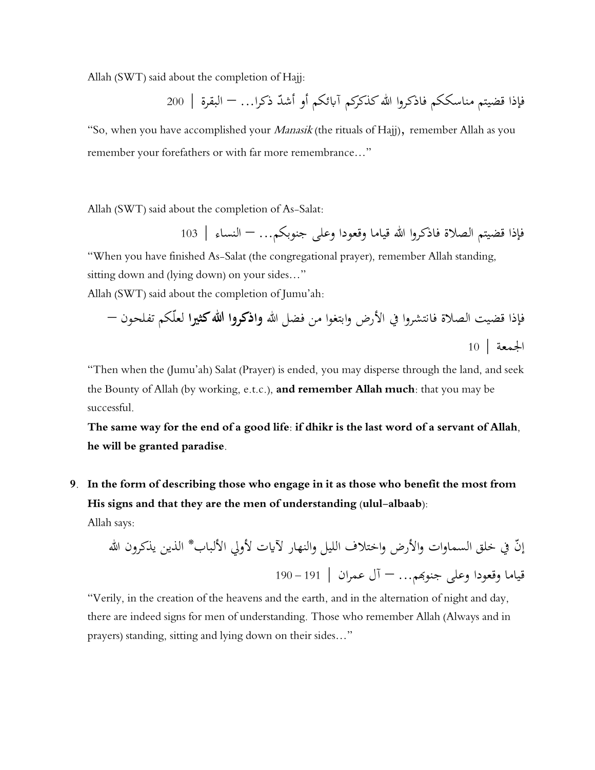Allah (SWT) said about the completion of Hajj:

فإذا قضيتم مناسككم فاذكروا الله كذكركم آبائكم أو أشدّ ذكرا… — البقرة | 200

"So, when you have accomplished your *Manasik* (the rituals of Hajj), remember Allah as you remember your forefathers or with far more remembrance…"

Allah (SWT) said about the completion of As-Salat:

فإذا قضيتم الصلاة فاذكروا الله قياما وقعودا وعلى جنوبكم... – النساء | 103

"When you have finished As-Salat (the congregational prayer), remember Allah standing, sitting down and (lying down) on your sides…"

Allah (SWT) said about the completion of Jumu'ah:

فإذا قضيت الصالة فانتشروا يف األرض وابتغوا من فضل هللا **واذكروا هللا كثريا** لعلّكم تفلحون – اجلمعة | <sup>10</sup>

"Then when the (Jumu'ah) Salat (Prayer) is ended, you may disperse through the land, and seek the Bounty of Allah (by working, e.t.c.), **and remember Allah much**: that you may be successful.

**The same way for the end of a good life: if dhikr is the last word of a servant of Allah, he will be granted paradise.**

**9. In the form of describing those who engage in it as those who benefit the most from His signs and that they are the men of understanding (ulul-albaab):** Allah says:

\* الذين يذكرون هللا ّن يف خلق السماوات واألرض واختالف الليل والنهار آلايت ألويل األلباب إ قياما وقعودا وعلى جنوهبم... – آل عمران | <sup>191</sup> – <sup>190</sup>

"Verily, in the creation of the heavens and the earth, and in the alternation of night and day, there are indeed signs for men of understanding. Those who remember Allah (Always and in prayers) standing, sitting and lying down on their sides…"